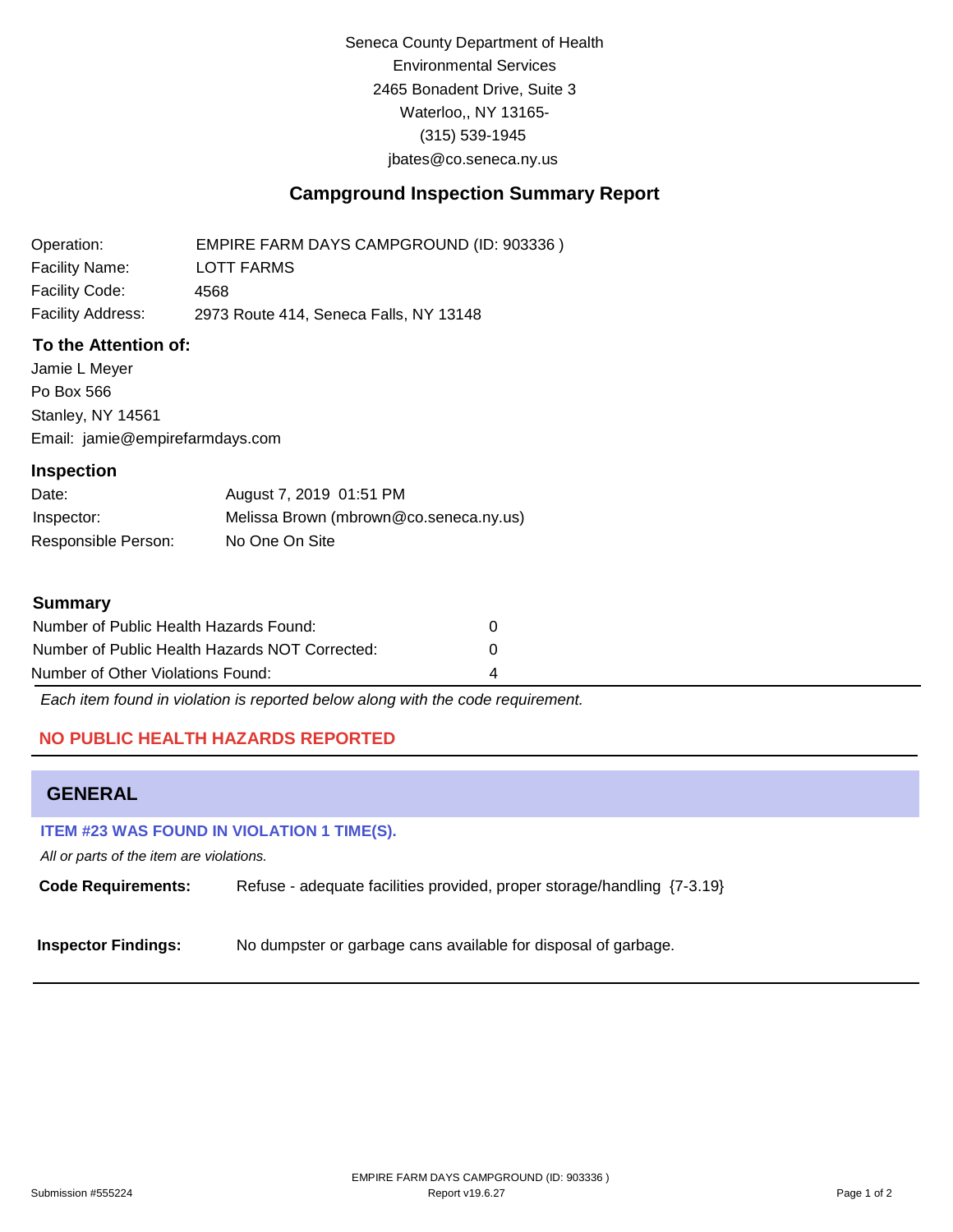Seneca County Department of Health Environmental Services 2465 Bonadent Drive, Suite 3 Waterloo,, NY 13165- (315) 539-1945 [jbates@co.seneca.ny.us](mailto:jbates@co.seneca.ny.us)

# **Campground Inspection Summary Report**

Operation: Facility Name: Facility Code: Facility Address: EMPIRE FARM DAYS CAMPGROUND (ID: 903336 ) LOTT FARMS 4568 2973 Route 414, Seneca Falls, NY 13148

## **To the Attention of:**

Jamie L Meyer Po Box 566 Stanley, NY 14561 [Email: jamie@empirefarmdays.com](mailto:jamie@empirefarmdays.com)

## **Inspection**

| Date:               | August 7, 2019 01:51 PM                |
|---------------------|----------------------------------------|
| Inspector:          | Melissa Brown (mbrown@co.seneca.ny.us) |
| Responsible Person: | No One On Site                         |

## **Summary**

| Number of Public Health Hazards Found:         |   |
|------------------------------------------------|---|
| Number of Public Health Hazards NOT Corrected: |   |
| Number of Other Violations Found:              | 4 |

*Each item found in violation is reported below along with the code requirement.*

## **NO PUBLIC HEALTH HAZARDS REPORTED**

# **GENERAL**

### **ITEM #23 WAS FOUND IN VIOLATION 1 TIME(S).**

*All or parts of the item are violations.*

**Code Requirements:** Refuse - adequate facilities provided, proper storage/handling {7-3.19}

**Inspector Findings:** No dumpster or garbage cans available for disposal of garbage.